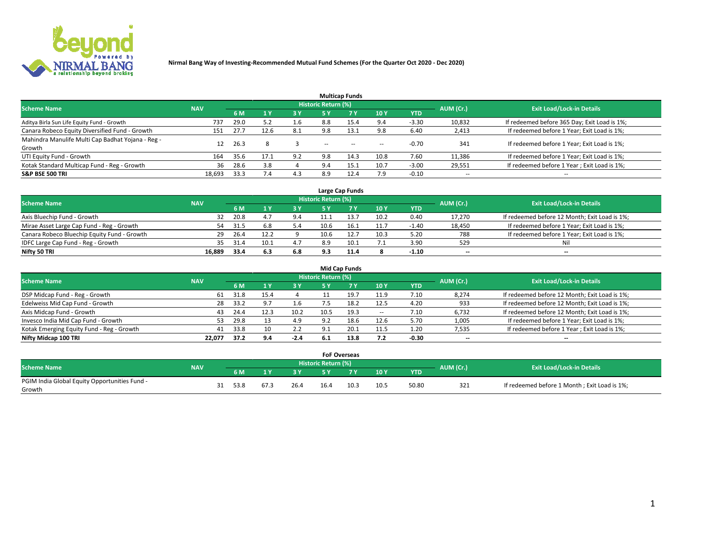

|                                                   |            |      |                |     |                            | <b>Multicap Funds</b> |                          |         |                          |                                              |
|---------------------------------------------------|------------|------|----------------|-----|----------------------------|-----------------------|--------------------------|---------|--------------------------|----------------------------------------------|
| <b>Scheme Name</b>                                | <b>NAV</b> |      |                |     | <b>Historic Return (%)</b> |                       |                          |         | AUM (Cr.)                | <b>Exit Load/Lock-in Details</b>             |
|                                                   |            | 6 M  | 4 <sup>v</sup> | 3 Y | <b>5 Y</b>                 | 7Y                    | 10Y                      | YTD     |                          |                                              |
| Aditya Birla Sun Life Equity Fund - Growth        | 737        | 29.0 | 5.2            | 1.6 | 8.8                        | 15.4                  | 9.4                      | $-3.30$ | 10,832                   | If redeemed before 365 Day; Exit Load is 1%; |
| Canara Robeco Equity Diversified Fund - Growth    | 151        | 27.7 | 12.6           | 8.1 | 9.8                        | 13.1                  | 9.8                      | 6.40    | 2,413                    | If redeemed before 1 Year; Exit Load is 1%;  |
| Mahindra Manulife Multi Cap Badhat Yojana - Reg - | 12         | 26.3 | 8              |     |                            |                       |                          | $-0.70$ | 341                      | If redeemed before 1 Year; Exit Load is 1%;  |
| Growth                                            |            |      |                |     | $\sim$                     | $- -$                 | $\overline{\phantom{a}}$ |         |                          |                                              |
| UTI Equity Fund - Growth                          | 164        | 35.6 | 17.1           | 9.2 | 9.8                        | 14.3                  | 10.8                     | 7.60    | 11,386                   | If redeemed before 1 Year; Exit Load is 1%;  |
| Kotak Standard Multicap Fund - Reg - Growth       | 36         | 28.6 | 3.8            |     | 9.4                        | 15.1                  | 10.7                     | $-3.00$ | 29,551                   | If redeemed before 1 Year; Exit Load is 1%;  |
| <b>S&amp;P BSE 500 TRI</b>                        | 18.693     | 33.3 | 7.4            | 4.3 | 8.9                        | 12.4                  | 7.9                      | $-0.10$ | $\overline{\phantom{a}}$ | $- -$                                        |

|                                             |            |      |      |     |                     | Large Cap Funds |      |         |           |                                               |
|---------------------------------------------|------------|------|------|-----|---------------------|-----------------|------|---------|-----------|-----------------------------------------------|
| <b>Scheme Name</b>                          | <b>NAV</b> |      |      |     | Historic Return (%) |                 |      |         | AUM (Cr.) | <b>Exit Load/Lock-in Details</b>              |
|                                             |            | 6 M  |      | 3 Y |                     |                 | 10Y  | YTD     |           |                                               |
| Axis Bluechip Fund - Growth                 | 32         | 20.8 | 4.   | 9.4 | 11.1                |                 | 10.2 | 0.40    | 17,270    | If redeemed before 12 Month; Exit Load is 1%; |
| Mirae Asset Large Cap Fund - Reg - Growth   | 54         | 31.5 | 6.8  | 5.4 | 10.6                |                 | 11.7 | $-1.40$ | 18,450    | If redeemed before 1 Year; Exit Load is 1%;   |
| Canara Robeco Bluechip Equity Fund - Growth | 29         | 26.4 | 12.2 |     | 10.6                |                 | 10.3 | 5.20    | 788       | If redeemed before 1 Year; Exit Load is 1%;   |
| IDFC Large Cap Fund - Reg - Growth          | 35         | 31.4 | 10.1 | 4.7 | 8.9                 |                 | 7.1  | 3.90    | 529       | Nil                                           |
| Nifty 50 TRI                                | 16.889     | 33.4 | 6.3  | 6.8 | 9.3                 | 11.4            |      | $-1.10$ | $- -$     | $-$                                           |

| <b>Mid Cap Funds</b>                      |            |      |     |        |                     |      |                          |            |           |                                               |  |  |
|-------------------------------------------|------------|------|-----|--------|---------------------|------|--------------------------|------------|-----------|-----------------------------------------------|--|--|
| <b>Scheme Name</b>                        | <b>NAV</b> |      |     |        | Historic Return (%) |      |                          |            | AUM (Cr.) | <b>Exit Load/Lock-in Details</b>              |  |  |
|                                           |            | 6 M  |     | 73 Y   | 5 Y                 |      | <b>10Y</b>               | <b>YTD</b> |           |                                               |  |  |
| DSP Midcap Fund - Reg - Growth            | 61         | 31.8 |     |        |                     |      | 11.9                     | 7.10       | 8,274     | If redeemed before 12 Month; Exit Load is 1%; |  |  |
| Edelweiss Mid Cap Fund - Growth           | 28         | 33.2 | 9.7 | 1.6    |                     |      | 12.5                     | 4.20       | 933       | If redeemed before 12 Month; Exit Load is 1%; |  |  |
| Axis Midcap Fund - Growth                 | 43         | 24.4 |     | 10.2   | 10.5                | 19.3 | $\overline{\phantom{a}}$ | 7.10       | 6,732     | If redeemed before 12 Month; Exit Load is 1%; |  |  |
| Invesco India Mid Cap Fund - Growth       | 53         | 29.8 |     | 4.9    | Q 7                 | 18.6 | 12.6                     | 5.70       | 1,005     | If redeemed before 1 Year; Exit Load is 1%;   |  |  |
| Kotak Emerging Equity Fund - Reg - Growth | 41         | 33.8 | 10  | 2.2    | 9.1                 | 20.1 | 11.5                     | 1.20       | 7,535     | If redeemed before 1 Year; Exit Load is 1%;   |  |  |
| Nifty Midcap 100 TRI                      | 22.077     | 37.2 | 9.4 | $-2.4$ | 6.1                 | 13.8 | 7.2                      | $-0.30$    | $- -$     | $\overline{\phantom{a}}$                      |  |  |

|                                               |            |      |      |      | <b>FoF Overseas</b> |                |      |            |           |                                              |
|-----------------------------------------------|------------|------|------|------|---------------------|----------------|------|------------|-----------|----------------------------------------------|
| <b>Scheme Name</b>                            | <b>NAV</b> |      |      |      | Historic Return (%) |                |      |            | AUM (Cr.) | <b>Exit Load/Lock-in Details</b>             |
|                                               |            | 6 M  |      |      | <b>EV</b>           | 7 <sub>2</sub> | 10Y  | <b>YTD</b> |           |                                              |
| PGIM India Global Equity Opportunities Fund - |            | 53.8 | 67.3 |      | 16.4                | 10.3           | 10.5 | 50.80      | 321       | If redeemed before 1 Month; Exit Load is 1%; |
| Growth                                        |            |      |      | 26.4 |                     |                |      |            |           |                                              |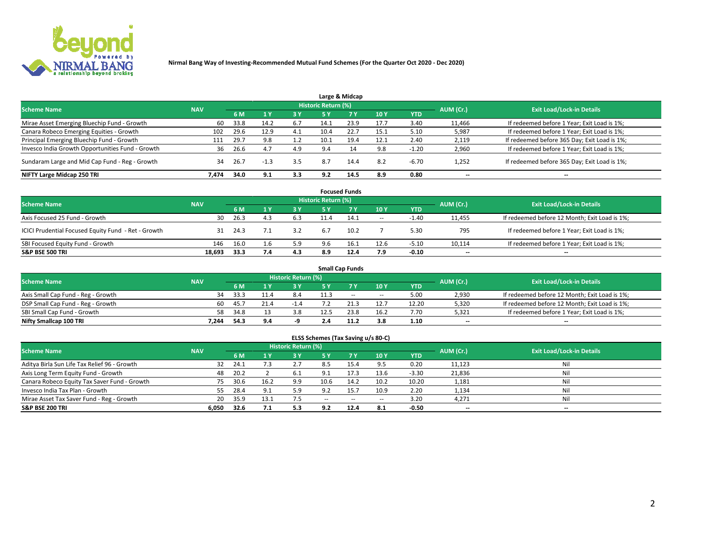

|                                                  |            |      |        |     |                     | Large & Midcap |      |            |                          |                                              |
|--------------------------------------------------|------------|------|--------|-----|---------------------|----------------|------|------------|--------------------------|----------------------------------------------|
| <b>Scheme Name</b>                               | <b>NAV</b> |      |        |     | Historic Return (%) |                |      |            | AUM (Cr.)                | <b>Exit Load/Lock-in Details</b>             |
|                                                  |            | 6 M  |        | 3V  | <b>5 Y</b>          | 7Y             | 10Y  | <b>YTD</b> |                          |                                              |
| Mirae Asset Emerging Bluechip Fund - Growth      | 60         | 33.8 | 14.2   | 6.7 | 14.1                | 23.9           | 17.7 | 3.40       | 11,466                   | If redeemed before 1 Year; Exit Load is 1%;  |
| Canara Robeco Emerging Equities - Growth         | 102        | 29.6 | 12.9   | 4.1 | 10.4                | 22.7           | 15.1 | 5.10       | 5,987                    | If redeemed before 1 Year; Exit Load is 1%;  |
| Principal Emerging Bluechip Fund - Growth        | 111        | 29.7 | 9.8    | 1.2 | 10.1                | 19.4           | 12.1 | 2.40       | 2,119                    | If redeemed before 365 Day; Exit Load is 1%; |
| Invesco India Growth Opportunities Fund - Growth | 36         | 26.6 | 4.7    | 4.9 | 9.4                 |                | 9.8  | $-1.20$    | 2,960                    | If redeemed before 1 Year; Exit Load is 1%;  |
| Sundaram Large and Mid Cap Fund - Reg - Growth   | 34         | 26.7 | $-1.3$ | 3.5 | 8.7                 | 14.4           | 8.2  | $-6.70$    | 1,252                    | If redeemed before 365 Day; Exit Load is 1%; |
| NIFTY Large Midcap 250 TRI                       | 7.474      | 34.0 | 9.1    | 3.3 | 9.2                 | 14.5           | 8.9  | 0.80       | $\overline{\phantom{a}}$ | --                                           |

| <b>Focused Funds</b>                                |            |      |     |           |                            |           |       |            |                          |                                               |  |  |
|-----------------------------------------------------|------------|------|-----|-----------|----------------------------|-----------|-------|------------|--------------------------|-----------------------------------------------|--|--|
| <b>Scheme Name</b>                                  | <b>NAV</b> |      |     |           | <b>Historic Return (%)</b> |           |       |            | AUM (Cr.)                | <b>Exit Load/Lock-in Details</b>              |  |  |
|                                                     |            | 6 M  |     | <b>3Y</b> | <b>5 Y</b>                 | <b>7Y</b> | 10 Y  | <b>YTD</b> |                          |                                               |  |  |
| Axis Focused 25 Fund - Growth                       | 30         | 26.3 | 4.3 | 6.3       | 11.4                       | 14.1      | $\!-$ | $-1.40$    | 11,455                   | If redeemed before 12 Month; Exit Load is 1%; |  |  |
| ICICI Prudential Focused Equity Fund - Ret - Growth | -31        | 24.3 |     | 3.2       | 6.7                        | 10.2      |       | 5.30       | 795                      | If redeemed before 1 Year; Exit Load is 1%;   |  |  |
| SBI Focused Equity Fund - Growth                    | 146        | 16.0 | 1.6 | 5.9       | 9.6                        | 16.1      | 12.6  | $-5.10$    | 10,114                   | If redeemed before 1 Year; Exit Load is 1%;   |  |  |
| <b>S&amp;P BSE 500 TRI</b>                          | 18.693     | 33.3 | 7.4 | 4.3       | 8.9                        | 12.4      | 7.9   | $-0.10$    | $\overline{\phantom{m}}$ | $- -$                                         |  |  |

|                                    |            |      |     |                            |     | <b>Small Cap Funds</b> |                          |       |           |                                               |
|------------------------------------|------------|------|-----|----------------------------|-----|------------------------|--------------------------|-------|-----------|-----------------------------------------------|
| <b>Scheme Name</b>                 | <b>NAV</b> |      |     | <b>Historic Return (%)</b> |     |                        |                          |       | AUM (Cr.) | <b>Exit Load/Lock-in Details</b>              |
|                                    |            | 6 M  |     | 73 Y.                      |     |                        | 10Y                      | YTD   |           |                                               |
| Axis Small Cap Fund - Reg - Growth | 34         | 33.3 |     | 8.4                        |     | $- -$                  | $\overline{\phantom{a}}$ | 5.00  | 2,930     | If redeemed before 12 Month; Exit Load is 1%; |
| DSP Small Cap Fund - Reg - Growth  | 60         | 45.7 |     |                            |     |                        | 12.7                     | 12.20 | 5,320     | If redeemed before 12 Month; Exit Load is 1%; |
| SBI Small Cap Fund - Growth        | 58         | 34.8 |     | 3.8                        |     | 23.8                   | 16.2                     | 7.70  | 5,321     | If redeemed before 1 Year; Exit Load is 1%;   |
| Nifty Smallcap 100 TRI             | 7.244      | 54.3 | 9.4 |                            | 2.4 |                        | 3.8                      | 1.10  | $-$       | $\overline{\phantom{a}}$                      |

| <b>Scheme Name</b>                           | <b>NAV</b> |      |      | Historic Return (%) |               |        |        |            | AUM (Cr.) | <b>Exit Load/Lock-in Details</b> |
|----------------------------------------------|------------|------|------|---------------------|---------------|--------|--------|------------|-----------|----------------------------------|
|                                              |            | 6 M  |      | 3 Y                 |               | 7Y     | 10Y    | <b>YTD</b> |           |                                  |
| Aditya Birla Sun Life Tax Relief 96 - Growth | 32         | 24.1 |      | 2.7                 | 8.5           |        | 9.5    | 0.20       | 11,123    | Nil                              |
| Axis Long Term Equity Fund - Growth          | 48         | 20.2 |      | 6.1                 | 9.1           | 17.3   | 13.6   | $-3.30$    | 21,836    | Nil                              |
| Canara Robeco Equity Tax Saver Fund - Growth | 75         | 30.6 | 16.2 | 9.9                 | 10.6          | 14.2   | 10.2   | 10.20      | 1,181     | Nil                              |
| Invesco India Tax Plan - Growth              | 55         | 28.4 | Q 1  | 5.9                 | 9.2           |        | 10.9   | 2.20       | 1,134     | Nil                              |
| Mirae Asset Tax Saver Fund - Reg - Growth    | 20         | 35.9 |      |                     | $\sim$ $\sim$ | $\sim$ | $\sim$ | 3.20       | 4,271     | Nil                              |
| <b>S&amp;P BSE 200 TRI</b>                   | 6.050      | 32.6 |      | 5.3                 | 9.2           | 12.4   | 8.1    | $-0.50$    | $- -$     | $\overline{\phantom{a}}$         |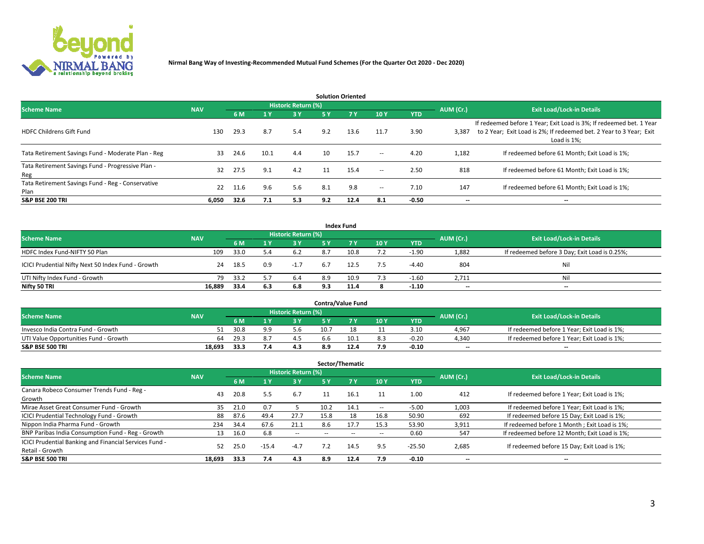

| <b>Solution Oriented</b>                                  |            |      |       |                     |     |           |                          |            |                          |                                                                                                                                                           |  |  |  |
|-----------------------------------------------------------|------------|------|-------|---------------------|-----|-----------|--------------------------|------------|--------------------------|-----------------------------------------------------------------------------------------------------------------------------------------------------------|--|--|--|
| <b>Scheme Name</b>                                        | <b>NAV</b> |      |       | Historic Return (%) |     |           |                          |            | AUM (Cr.)                | <b>Exit Load/Lock-in Details</b>                                                                                                                          |  |  |  |
|                                                           |            | 6 M  | $-1Y$ | 3 Y                 | 5 Y | <b>7Y</b> | <b>10Y</b>               | <b>YTD</b> |                          |                                                                                                                                                           |  |  |  |
| <b>HDFC Childrens Gift Fund</b>                           | 130        | 29.3 | 8.7   | 5.4                 | 9.2 | 13.6      | 11.7                     | 3.90       | 3,387                    | If redeemed before 1 Year; Exit Load is 3%; If redeemed bet. 1 Year<br>to 2 Year; Exit Load is 2%; If redeemed bet. 2 Year to 3 Year; Exit<br>Load is 1%; |  |  |  |
| Tata Retirement Savings Fund - Moderate Plan - Reg        | 33         | 24.6 | 10.1  | 4.4                 | 10  | 15.7      | $\!-$                    | 4.20       | 1,182                    | If redeemed before 61 Month; Exit Load is 1%;                                                                                                             |  |  |  |
| Tata Retirement Savings Fund - Progressive Plan -<br>Reg  | 32         | 27.5 | 9.1   | 4.2                 | 11  | 15.4      | $\overline{\phantom{a}}$ | 2.50       | 818                      | If redeemed before 61 Month; Exit Load is 1%;                                                                                                             |  |  |  |
| Tata Retirement Savings Fund - Reg - Conservative<br>Plan | 22         | 11.6 | 9.6   | 5.6                 | 8.1 | 9.8       | $\overline{\phantom{a}}$ | 7.10       | 147                      | If redeemed before 61 Month; Exit Load is 1%;                                                                                                             |  |  |  |
| <b>S&amp;P BSE 200 TRI</b>                                | 6,050      | 32.6 | 7.1   | 5.3                 | 9.2 | 12.4      | 8.1                      | $-0.50$    | $\overline{\phantom{a}}$ | $\overline{\phantom{a}}$                                                                                                                                  |  |  |  |

|                                                    |            |             |     |                     |     | <b>Index Fund</b> |     |            |           |                                               |
|----------------------------------------------------|------------|-------------|-----|---------------------|-----|-------------------|-----|------------|-----------|-----------------------------------------------|
| <b>Scheme Name</b>                                 | <b>NAV</b> |             |     | Historic Return (%) |     |                   |     |            | AUM (Cr.) | <b>Exit Load/Lock-in Details</b>              |
|                                                    |            | 6 M         |     | <b>3Y</b>           | 5 Y | <b>7Y</b>         | 10Y | <b>YTD</b> |           |                                               |
| HDFC Index Fund-NIFTY 50 Plan                      |            | 33.0<br>109 | 5.4 | 6.2                 | 8.7 | 10.8              | 7.2 | $-1.90$    | 1,882     | If redeemed before 3 Day; Exit Load is 0.25%; |
| ICICI Prudential Nifty Next 50 Index Fund - Growth |            | 18.5<br>24  | 0.9 | $-1.7$              |     | 12.5              | 7.5 | $-4.40$    | 804       | Nil                                           |
| UTI Nifty Index Fund - Growth                      |            | 33.2<br>79  | 5.7 | 6.4                 | 8.9 | 10.9              | 7.3 | $-1.60$    | 2,711     | Nil                                           |
| Nifty 50 TRI                                       | 16,889     | 33.4        | 6.3 | 6.8                 | 9.3 | 11.4              |     | $-1.10$    | $- -$     | $\overline{\phantom{a}}$                      |

| <b>Contra/Value Fund</b>              |            |      |     |                     |      |      |     |            |           |                                             |  |
|---------------------------------------|------------|------|-----|---------------------|------|------|-----|------------|-----------|---------------------------------------------|--|
| <b>Scheme Name</b>                    | <b>NAV</b> |      |     | Historic Return (%) |      |      |     |            | AUM (Cr.) | <b>Exit Load/Lock-in Details</b>            |  |
|                                       |            | 6 M  |     |                     |      | 7 V  | 10Y | <b>YTD</b> |           |                                             |  |
| Invesco India Contra Fund - Growth    | 51         | 30.8 | a a | 5.6                 | 10.7 |      |     | 3.10       | 4,967     | If redeemed before 1 Year; Exit Load is 1%; |  |
| UTI Value Opportunities Fund - Growth | 64         | 29.3 | 8.  | 4.5                 | 6.6  | 10.1 | 8.3 | $-0.20$    | 4.340     | If redeemed before 1 Year; Exit Load is 1%; |  |
| <b>S&amp;P BSE 500 TRI</b>            | 18.693     | 33.3 |     | 4.3                 | 8.9  |      | 7.9 | $-0.10$    | $-$       | $- -$                                       |  |

| Sector/Thematic                                        |            |      |                       |                     |           |        |      |            |           |                                               |  |
|--------------------------------------------------------|------------|------|-----------------------|---------------------|-----------|--------|------|------------|-----------|-----------------------------------------------|--|
| <b>Scheme Name</b>                                     | <b>NAV</b> |      |                       | Historic Return (%) |           |        |      |            | AUM (Cr.) | <b>Exit Load/Lock-in Details</b>              |  |
|                                                        |            | 6 M  | $\sqrt{1}$ $\sqrt{2}$ | 3Y                  | <b>5Y</b> | 7 Y    | 10Y  | <b>YTD</b> |           |                                               |  |
| Canara Robeco Consumer Trends Fund - Reg -             | 43         | 20.8 | 5.5                   | 6.7                 |           | 16.1   | 11   | 1.00       | 412       | If redeemed before 1 Year; Exit Load is 1%;   |  |
| Growth                                                 |            |      |                       |                     |           |        |      |            |           |                                               |  |
| Mirae Asset Great Consumer Fund - Growth               | 35         | 21.0 | 0.7                   |                     | 10.2      | 14.1   | --   | $-5.00$    | 1,003     | If redeemed before 1 Year; Exit Load is 1%;   |  |
| ICICI Prudential Technology Fund - Growth              | 88         | 87.6 | 49.4                  | 27.7                | 15.8      | 18     | 16.8 | 50.90      | 692       | If redeemed before 15 Day; Exit Load is 1%;   |  |
| Nippon India Pharma Fund - Growth                      | 234        | 34.4 | 67.6                  | 21.1                | 8.6       | 17.7   | 15.3 | 53.90      | 3,911     | If redeemed before 1 Month; Exit Load is 1%;  |  |
| BNP Paribas India Consumption Fund - Reg - Growth      | 13         | 16.0 | 6.8                   | $\sim$              | --        | $\sim$ | --   | 0.60       | 547       | If redeemed before 12 Month; Exit Load is 1%; |  |
| ICICI Prudential Banking and Financial Services Fund - | 52         | 25.0 | $-15.4$               | $-4.7$              | 7.2       | 14.5   | 9.5  | $-25.50$   | 2,685     | If redeemed before 15 Day; Exit Load is 1%;   |  |
| Retail - Growth                                        |            |      |                       |                     |           |        |      |            |           |                                               |  |
| <b>S&amp;P BSE 500 TRI</b>                             | 18.693     | 33.3 | 7.4                   | 4.3                 | 8.9       | 12.4   | 7.9  | $-0.10$    | --        | $- -$                                         |  |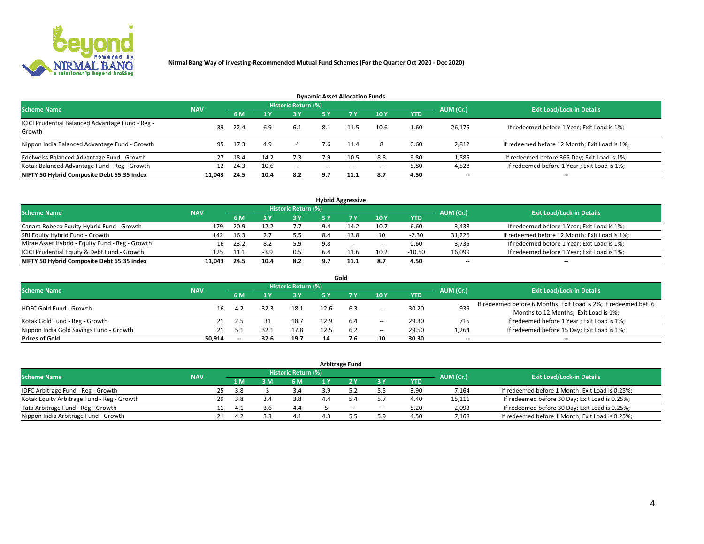

| <b>Dynamic Asset Allocation Funds</b>                      |            |      |      |                     |               |           |       |            |           |                                               |  |  |  |  |
|------------------------------------------------------------|------------|------|------|---------------------|---------------|-----------|-------|------------|-----------|-----------------------------------------------|--|--|--|--|
| <b>Scheme Name</b>                                         | <b>NAV</b> |      |      | Historic Return (%) |               |           |       |            | AUM (Cr.) | <b>Exit Load/Lock-in Details</b>              |  |  |  |  |
|                                                            |            | 6 M  |      | 3 Y                 | <b>5Y</b>     | <b>7Y</b> | 10Y   | <b>YTD</b> |           |                                               |  |  |  |  |
| ICICI Prudential Balanced Advantage Fund - Reg -<br>Growth | 39         | 22.4 | 6.9  | 6.1                 | 8.1           |           | 10.6  | 1.60       | 26,175    | If redeemed before 1 Year; Exit Load is 1%;   |  |  |  |  |
| Nippon India Balanced Advantage Fund - Growth              | 95         | 17.3 | 4.9  |                     | 7.6           | 11.4      | 8     | 0.60       | 2,812     | If redeemed before 12 Month; Exit Load is 1%; |  |  |  |  |
| Edelweiss Balanced Advantage Fund - Growth                 | 27         | 18.4 | 14.2 | 7.3                 | 7.9           | 10.5      | 8.8   | 9.80       | 1,585     | If redeemed before 365 Day; Exit Load is 1%;  |  |  |  |  |
| Kotak Balanced Advantage Fund - Reg - Growth               | 12         | 24.3 | 10.6 | $\sim$              | $\sim$ $\sim$ | $-$       | $- -$ | 5.80       | 4,528     | If redeemed before 1 Year; Exit Load is 1%;   |  |  |  |  |
| NIFTY 50 Hybrid Composite Debt 65:35 Index                 | 11.043     | 24.5 | 10.4 | 8.2                 | 9.7           | 11.1      | 8.7   | 4.50       | --        | --                                            |  |  |  |  |

| <b>Hybrid Aggressive</b>                        |            |           |                                  |            |     |       |                          |            |        |                                               |  |  |  |
|-------------------------------------------------|------------|-----------|----------------------------------|------------|-----|-------|--------------------------|------------|--------|-----------------------------------------------|--|--|--|
| <b>Scheme Name</b>                              | <b>NAV</b> | AUM (Cr.) | <b>Exit Load/Lock-in Details</b> |            |     |       |                          |            |        |                                               |  |  |  |
|                                                 |            | 6 M       |                                  | <b>3 Y</b> | 5 ۷ |       | 10Y                      | <b>YTD</b> |        |                                               |  |  |  |
| Canara Robeco Equity Hybrid Fund - Growth       | 179        | 20.9      | 12.2                             | 7.7        | 9.4 | 14.2  | 10.7                     | 6.60       | 3,438  | If redeemed before 1 Year; Exit Load is 1%;   |  |  |  |
| SBI Equity Hybrid Fund - Growth                 | 142        | 16.3      |                                  | 5.5        | 8.4 | 13.8  | 10                       | $-2.30$    | 31,226 | If redeemed before 12 Month; Exit Load is 1%; |  |  |  |
| Mirae Asset Hybrid - Equity Fund - Reg - Growth | 16         | 23.2      | 8.2                              | 5.9        | 9.8 | $- -$ | $\overline{\phantom{a}}$ | 0.60       | 3,735  | If redeemed before 1 Year; Exit Load is 1%;   |  |  |  |
| ICICI Prudential Equity & Debt Fund - Growth    | 125        | 11.1      | $-3.9$                           | 0.5        | 6.4 | 11.6  | 10.2                     | $-10.50$   | 16,099 | If redeemed before 1 Year; Exit Load is 1%;   |  |  |  |
| NIFTY 50 Hybrid Composite Debt 65:35 Index      | 11,043     | 24.5      | 10.4                             | 8.2        | 9.7 |       | 8.7                      | 4.50       | $- -$  | $\overline{\phantom{a}}$                      |  |  |  |

|                                         |            |                          |      |                            |      | Gold |                          |       |                          |                                                                  |
|-----------------------------------------|------------|--------------------------|------|----------------------------|------|------|--------------------------|-------|--------------------------|------------------------------------------------------------------|
| <b>Scheme Name</b>                      | <b>NAV</b> |                          |      | <b>Historic Return (%)</b> |      |      |                          |       | AUM (Cr.)                | <b>Exit Load/Lock-in Details</b>                                 |
|                                         |            | 6 M                      |      | 3 Y                        | ς γ  |      | 10Y                      | YTD   |                          |                                                                  |
| HDFC Gold Fund - Growth                 | 16         | -4.2                     | 32.3 | 18.1                       |      | 6.3  |                          | 30.20 | 939                      | If redeemed before 6 Months; Exit Load is 2%; If redeemed bet. 6 |
|                                         |            |                          |      |                            |      |      | $\overline{\phantom{a}}$ |       |                          | Months to 12 Months; Exit Load is 1%;                            |
| Kotak Gold Fund - Reg - Growth          |            |                          |      | 18.7                       | 12.9 | 6.4  | $\overline{\phantom{a}}$ | 29.30 | 715                      | If redeemed before 1 Year; Exit Load is 1%;                      |
| Nippon India Gold Savings Fund - Growth |            |                          |      | 17.8                       |      | 6.2  | $\overline{\phantom{a}}$ | 29.50 | 1,264                    | If redeemed before 15 Day; Exit Load is 1%;                      |
| <b>Prices of Gold</b>                   | 50.914     | $\overline{\phantom{a}}$ | 32.6 | 19.7                       | 14   |      | 10                       | 30.30 | $\overline{\phantom{a}}$ | $- -$                                                            |

| <b>Arbitrage Fund</b>                      |            |           |                                  |  |     |     |       |       |            |        |                                                 |  |  |
|--------------------------------------------|------------|-----------|----------------------------------|--|-----|-----|-------|-------|------------|--------|-------------------------------------------------|--|--|
| <b>Scheme Name</b>                         | <b>NAV</b> | AUM (Cr.) | <b>Exit Load/Lock-in Details</b> |  |     |     |       |       |            |        |                                                 |  |  |
|                                            |            |           | 1 M                              |  | 6 M | 1 Y |       | ЗY    | <b>YTD</b> |        |                                                 |  |  |
| IDFC Arbitrage Fund - Reg - Growth         |            | 25        | 3.8                              |  |     |     |       |       | 3.90       | 7,164  | If redeemed before 1 Month; Exit Load is 0.25%; |  |  |
| Kotak Equity Arbitrage Fund - Reg - Growth |            | 29        | 3.8                              |  | 3.8 |     |       |       | 4.40       | 15,111 | If redeemed before 30 Day; Exit Load is 0.25%;  |  |  |
| Tata Arbitrage Fund - Reg - Growth         |            |           |                                  |  | 4.4 |     | $- -$ | $\!-$ | 5.20       | 2,093  | If redeemed before 30 Day; Exit Load is 0.25%;  |  |  |
| Nippon India Arbitrage Fund - Growth       |            |           |                                  |  |     |     |       | 5.9   | 4.50       | 7,168  | If redeemed before 1 Month; Exit Load is 0.25%; |  |  |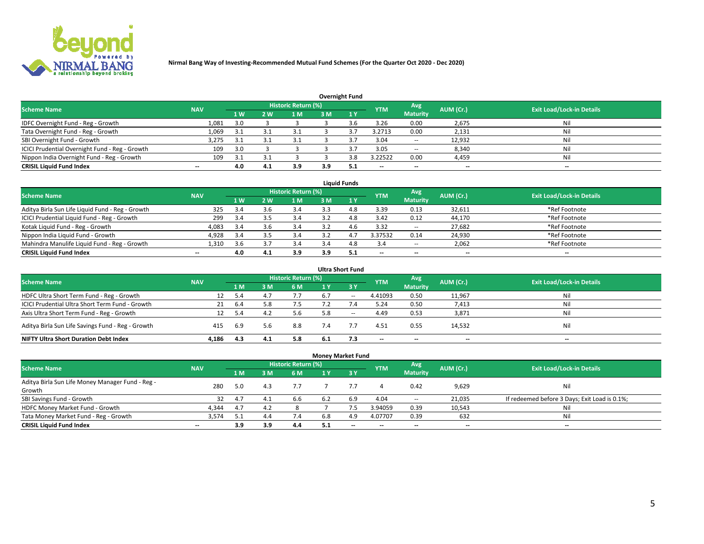

| Overnight Fund                                 |            |                |     |                            |     |       |                          |                          |           |                                  |  |  |  |
|------------------------------------------------|------------|----------------|-----|----------------------------|-----|-------|--------------------------|--------------------------|-----------|----------------------------------|--|--|--|
| <b>Scheme Name</b>                             | <b>NAV</b> |                |     | <b>Historic Return (%)</b> |     |       | <b>YTM</b>               | Avg                      | AUM (Cr.) | <b>Exit Load/Lock-in Details</b> |  |  |  |
|                                                |            | 1 <sub>W</sub> | 2 W | 1 <sub>M</sub>             | 3M  | $-1V$ |                          | <b>Maturity</b>          |           |                                  |  |  |  |
| IDFC Overnight Fund - Reg - Growth             | 1,081      | 3.0            |     |                            |     |       | 3.26                     | 0.00                     | 2,675     | Nil                              |  |  |  |
| Tata Overnight Fund - Reg - Growth             | 1,069      | 3.1            |     |                            |     |       | 3.2713                   | 0.00                     | 2,131     | Nil                              |  |  |  |
| SBI Overnight Fund - Growth                    | 3,275      | 3.1            |     |                            |     |       | 3.04                     | $\overline{\phantom{a}}$ | 12,932    | Nil                              |  |  |  |
| ICICI Prudential Overnight Fund - Reg - Growth | 109        | 3.0            |     |                            |     |       | 3.05                     | $\sim$                   | 8,340     | Nil                              |  |  |  |
| Nippon India Overnight Fund - Reg - Growth     | 109        | 3.1            |     |                            |     | 3.8   | 3.22522                  | 0.00                     | 4,459     | Nil                              |  |  |  |
| <b>CRISIL Liquid Fund Index</b>                | $- -$      | 4.0            | 4.1 | 3.9                        | 3.9 | -5.1  | $\overline{\phantom{a}}$ | $-$                      | $- -$     | $-$                              |  |  |  |

| <b>Liquid Funds</b>                              |                          |     |     |                     |     |              |                          |                          |                          |                                  |  |  |  |  |
|--------------------------------------------------|--------------------------|-----|-----|---------------------|-----|--------------|--------------------------|--------------------------|--------------------------|----------------------------------|--|--|--|--|
| <b>Scheme Name</b>                               | <b>NAV</b>               |     |     | Historic Return (%) |     |              | <b>YTM</b>               | Avg                      | AUM (Cr.)                | <b>Exit Load/Lock-in Details</b> |  |  |  |  |
|                                                  |                          | 4W  | 2 W | l M                 | 3 M | $\sqrt{1}$ Y |                          | <b>Maturity</b>          |                          |                                  |  |  |  |  |
| Aditya Birla Sun Life Liquid Fund - Reg - Growth | 325                      | 3.4 | 3.6 | 3.4                 |     | 4.8          | 3.39                     | 0.13                     | 32,611                   | *Ref Footnote                    |  |  |  |  |
| ICICI Prudential Liquid Fund - Reg - Growth      | 299                      | 3.4 | 3.5 | 3.4                 |     | 4.8          | 3.42                     | 0.12                     | 44,170                   | *Ref Footnote                    |  |  |  |  |
| Kotak Liquid Fund - Reg - Growth                 | 4,083                    | 3.4 | 3.6 | 3.4                 |     | 4.6          | 3.32                     | $\overline{\phantom{a}}$ | 27,682                   | *Ref Footnote                    |  |  |  |  |
| Nippon India Liquid Fund - Growth                | 4,928                    | 3.4 |     | 3.4                 |     | 4.7          | 3.37532                  | 0.14                     | 24,930                   | *Ref Footnote                    |  |  |  |  |
| Mahindra Manulife Liquid Fund - Reg - Growth     | 1.310                    | 3.6 |     | 3.4                 | 3.4 | 4.8          | 3.4                      | $\!-$                    | 2,062                    | *Ref Footnote                    |  |  |  |  |
| <b>CRISIL Liquid Fund Index</b>                  | $\overline{\phantom{a}}$ | 4.0 | 4.⊥ | 3.9                 | 3.9 | 5.1          | $\overline{\phantom{a}}$ | $\overline{\phantom{a}}$ | $\overline{\phantom{a}}$ | $-$                              |  |  |  |  |

| <b>Ultra Short Fund</b>                           |            |      |     |                            |     |        |            |                          |           |                                  |  |  |  |
|---------------------------------------------------|------------|------|-----|----------------------------|-----|--------|------------|--------------------------|-----------|----------------------------------|--|--|--|
| <b>Scheme Name</b>                                | <b>NAV</b> |      |     | <b>Historic Return (%)</b> |     |        | <b>YTM</b> | Avg                      | AUM (Cr.) | <b>Exit Load/Lock-in Details</b> |  |  |  |
|                                                   |            | 1 M  | 3 M | 6 M                        | 1 Y | $Z_3V$ |            | <b>Maturity</b>          |           |                                  |  |  |  |
| HDFC Ultra Short Term Fund - Reg - Growth         | 12         | -5.4 | 4.7 |                            | 6.7 | $\sim$ | 4.41093    | 0.50                     | 11,967    | Nil                              |  |  |  |
| ICICI Prudential Ultra Short Term Fund - Growth   | 21         | 6.4  |     | 7.5                        |     |        | 5.24       | 0.50                     | 7,413     | Nil                              |  |  |  |
| Axis Ultra Short Term Fund - Reg - Growth         |            | 5.4  | 4.2 | 5.6                        | 5.8 | $- -$  | 4.49       | 0.53                     | 3,871     | Nil                              |  |  |  |
| Aditya Birla Sun Life Savings Fund - Reg - Growth | 415        | 6.9  | 5.6 | 8.8                        | 7.4 |        | 4.51       | 0.55                     | 14,532    | Nil                              |  |  |  |
| <b>NIFTY Ultra Short Duration Debt Index</b>      | 4.186      | 4.3  | 4.1 | 5.8                        |     |        | --         | $\overline{\phantom{a}}$ | --        | $\overline{\phantom{a}}$         |  |  |  |

|                                                  |            |     |     |                            | <b>Money Market Fund</b> |           |                          |                 |           |                                               |
|--------------------------------------------------|------------|-----|-----|----------------------------|--------------------------|-----------|--------------------------|-----------------|-----------|-----------------------------------------------|
| <b>Scheme Name</b>                               | <b>NAV</b> |     |     | <b>Historic Return (%)</b> |                          |           | <b>YTM</b>               | Avg             | AUM (Cr.) | <b>Exit Load/Lock-in Details</b>              |
|                                                  |            | 1 M | 3 M | 6 M                        | 1 Y                      | <b>3Y</b> |                          | <b>Maturity</b> |           |                                               |
| Aditya Birla Sun Life Money Manager Fund - Reg - | 280        | 5.0 | 4.3 | 7.7                        |                          |           |                          | 0.42            | 9,629     | Nil                                           |
| Growth                                           |            |     |     |                            |                          |           |                          |                 |           |                                               |
| SBI Savings Fund - Growth                        | 32         | 4.7 | 4.1 | 6.6                        | 6.2                      | 6.9       | 4.04                     | $\sim$          | 21,035    | If redeemed before 3 Days; Exit Load is 0.1%; |
| HDFC Money Market Fund - Growth                  | 4,344      | 4.7 | 4.2 |                            |                          |           | 3.94059                  | 0.39            | 10,543    | Nil                                           |
| Tata Money Market Fund - Reg - Growth            | 3,574      |     | 4.4 | 7.4                        | 6.8                      | 4.9       | 4.07707                  | 0.39            | 632       | Nil                                           |
| <b>CRISIL Liquid Fund Index</b>                  | $- -$      | 3.9 | 3.9 | 4.4                        | 5.1                      | $-$       | $\overline{\phantom{a}}$ | $-$             | $- -$     | $-$                                           |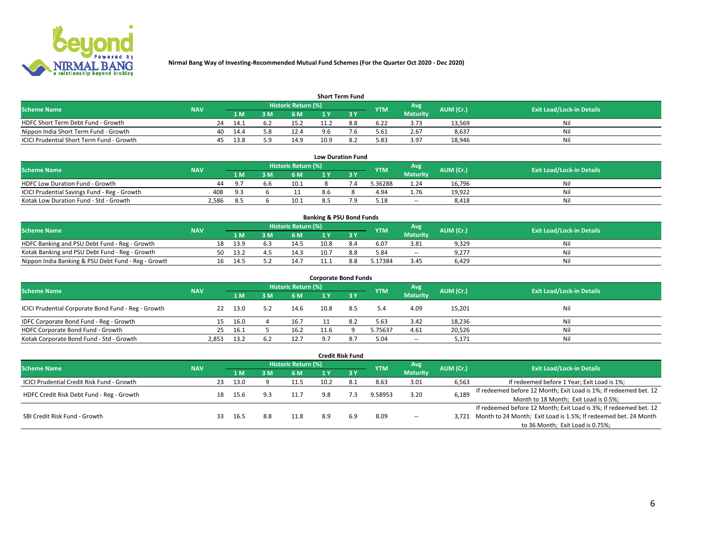

| <b>Short Term Fund</b>                    |            |    |      |     |                            |      |     |            |                 |           |                                  |  |  |  |
|-------------------------------------------|------------|----|------|-----|----------------------------|------|-----|------------|-----------------|-----------|----------------------------------|--|--|--|
| <b>Scheme Name</b>                        | <b>NAV</b> |    |      |     | <b>Historic Return (%)</b> |      |     | <b>YTM</b> | Avg             | AUM (Cr.) | <b>Exit Load/Lock-in Details</b> |  |  |  |
|                                           |            |    | 1 M. | 3 M | 6 M                        | 1 V  |     |            | <b>Maturity</b> |           |                                  |  |  |  |
| HDFC Short Term Debt Fund - Growth        |            | 24 | 14.1 | 6.2 | 15.2                       | 11.2 | 8.8 | 6.22       | 3.73            | 13.569    | Nil                              |  |  |  |
| Nippon India Short Term Fund - Growth     |            | 40 | 14.4 |     | 12.4                       |      |     | 5.61       | 2.67            | 8,637     | Nil                              |  |  |  |
| ICICI Prudential Short Term Fund - Growth |            | 45 | 13.8 |     | 14.9                       | 10.9 |     | 5.83       | 3.97            | 18.946    | Nil                              |  |  |  |

| <b>Low Duration Fund</b>                     |            |                |  |                     |     |  |            |                 |           |                                  |  |  |  |
|----------------------------------------------|------------|----------------|--|---------------------|-----|--|------------|-----------------|-----------|----------------------------------|--|--|--|
| <b>Scheme Name</b>                           | <b>NAV</b> |                |  | Historic Return (%) |     |  | <b>YTM</b> | Avg             | AUM (Cr.) | <b>Exit Load/Lock-in Details</b> |  |  |  |
|                                              |            | 1 M I          |  | 6 M                 |     |  |            | <b>Maturity</b> |           |                                  |  |  |  |
| HDFC Low Duration Fund - Growth              | 44         | Q <sub>1</sub> |  | 10.1                |     |  | 3.36288    | 1.24            | 16,796    | Nil                              |  |  |  |
| ICICI Prudential Savings Fund - Reg - Growth | 408        | 9.3            |  |                     | 8.6 |  | 4.94       | 1.76            | 19,922    | Nil                              |  |  |  |
| Kotak Low Duration Fund - Std - Growth       | 2,586      | 8.5            |  | 10.1                |     |  | 5.18       | $\sim$          | 8,418     | Nil                              |  |  |  |

| <b>Banking &amp; PSU Bond Funds</b>                 |            |    |       |     |                     |      |     |            |                 |           |                                  |  |  |  |
|-----------------------------------------------------|------------|----|-------|-----|---------------------|------|-----|------------|-----------------|-----------|----------------------------------|--|--|--|
| <b>Scheme Name</b>                                  | <b>NAV</b> |    |       |     | Historic Return (%) |      |     | <b>YTM</b> | Avg             | AUM (Cr.) | <b>Exit Load/Lock-in Details</b> |  |  |  |
|                                                     |            |    | 1 M   | ιм  | 6 M                 |      |     |            | <b>Maturity</b> |           |                                  |  |  |  |
| HDFC Banking and PSU Debt Fund - Reg - Growth       |            | 18 | 13.9  | b.3 | 14.5                | 10.8 |     | 6.07       | 3.81            | 9,329     | Nil                              |  |  |  |
| Kotak Banking and PSU Debt Fund - Reg - Growth      |            | 50 | -13.2 |     | 14.3                | 10.7 | 8.8 | 5.84       | $\sim$          | 9,277     | Nil                              |  |  |  |
| Nippon India Banking & PSU Debt Fund - Reg - Growth |            | 16 | 14.5  |     |                     |      |     | 5.17384    | 3.45            | 6.429     | Nil                              |  |  |  |

| <b>Corporate Bond Funds</b>                         |            |      |     |      |                     |     |            |                 |           |                                  |  |
|-----------------------------------------------------|------------|------|-----|------|---------------------|-----|------------|-----------------|-----------|----------------------------------|--|
| <b>Scheme Name</b>                                  | <b>NAV</b> |      |     |      | Historic Return (%) |     |            | Avg             | AUM (Cr.) | <b>Exit Load/Lock-in Details</b> |  |
|                                                     |            | 1 M  | l M | 6 M  | 1 Y                 |     | <b>YTM</b> | <b>Maturity</b> |           |                                  |  |
| ICICI Prudential Corporate Bond Fund - Reg - Growth | 22         | 13.0 | 5.2 | 14.6 | 10.8                | 8.5 | 5.4        | 4.09            | 15,201    | Nil                              |  |
| IDFC Corporate Bond Fund - Reg - Growth             | 15         | 16.0 |     | 16.7 |                     | 8.2 | 5.63       | 3.42            | 18,236    | Nil                              |  |
| HDFC Corporate Bond Fund - Growth                   | 25         | 16.1 |     | 16.2 | 11.6                |     | 5.75637    | 4.61            | 20,526    | Nil                              |  |
| Kotak Corporate Bond Fund - Std - Growth            | 2.853      | 13.2 | 6.2 | 12.7 | a -                 | 8.7 | 5.04       | $\sim$          | 5.171     | Nil                              |  |

|                                            |            |                     |      |     |      |      | <b>Credit Risk Fund</b> |            |                 |           |                                                                       |
|--------------------------------------------|------------|---------------------|------|-----|------|------|-------------------------|------------|-----------------|-----------|-----------------------------------------------------------------------|
| <b>Scheme Name</b>                         | <b>NAV</b> | Historic Return (%) |      |     |      |      |                         | <b>YTM</b> | Avg             | AUM (Cr.) | <b>Exit Load/Lock-in Details</b>                                      |
|                                            |            |                     | 1 M  | 3 M | 6 M  |      | $-3V$                   |            | <b>Maturity</b> |           |                                                                       |
| ICICI Prudential Credit Risk Fund - Growth |            | 23                  | 13.0 |     | 11.5 | 10.2 | 8.1                     | 8.63       | 3.01            | 6,563     | If redeemed before 1 Year; Exit Load is 1%;                           |
| HDFC Credit Risk Debt Fund - Reg - Growth  |            | 18                  | 15.6 |     | 11.7 | 9.8  |                         | 9.58953    | 3.20            | 6,189     | If redeemed before 12 Month; Exit Load is 1%; If redeemed bet. 12     |
|                                            |            |                     |      |     |      |      |                         |            |                 |           | Month to 18 Month; Exit Load is 0.5%;                                 |
| SBI Credit Risk Fund - Growth              |            |                     |      |     |      |      |                         |            |                 |           | If redeemed before 12 Month; Exit Load is 3%; If redeemed bet. 12     |
|                                            |            | 33                  | 16.5 | 8.8 | 11.8 | 8.9  | 6.9                     | 8.09       | $\!-$           |           | 3,721 Month to 24 Month; Exit Load is 1.5%; If redeemed bet. 24 Month |
|                                            |            |                     |      |     |      |      |                         |            |                 |           | to 36 Month; Exit Load is 0.75%;                                      |